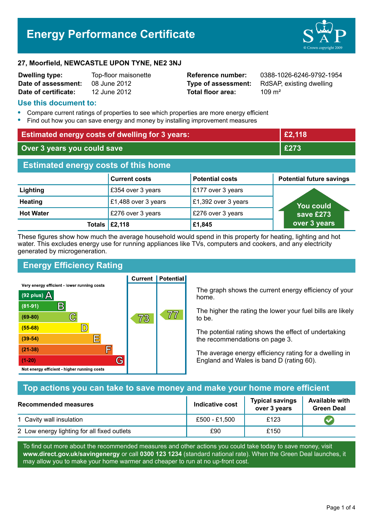# **Energy Performance Certificate**



#### **27, Moorfield, NEWCASTLE UPON TYNE, NE2 3NJ**

| <b>Dwelling type:</b> | Top-floor maisonett |
|-----------------------|---------------------|
| Date of assessment:   | 08 June 2012        |
| Date of certificate:  | 12 June 2012        |

**Total floor area:** 109 m<sup>2</sup>

**Dwelling type:** Top-floor maisonette **Reference number:** 0388-1026-6246-9792-1954 **Type of assessment:** RdSAP, existing dwelling

#### **Use this document to:**

- **•** Compare current ratings of properties to see which properties are more energy efficient
- **•** Find out how you can save energy and money by installing improvement measures

| <b>Estimated energy costs of dwelling for 3 years:</b> |                       |                        | £2,118                          |
|--------------------------------------------------------|-----------------------|------------------------|---------------------------------|
| Over 3 years you could save                            |                       |                        | £273                            |
| <b>Estimated energy costs of this home</b>             |                       |                        |                                 |
|                                                        | <b>Current costs</b>  | <b>Potential costs</b> | <b>Potential future savings</b> |
| Lighting                                               | £354 over 3 years     | £177 over 3 years      |                                 |
| <b>Heating</b>                                         | £1,488 over 3 years   | £1,392 over 3 years    | <b>You could</b>                |
| <b>Hot Water</b>                                       | £276 over 3 years     | £276 over 3 years      | save £273                       |
|                                                        | Totals $\vert$ £2,118 | £1,845                 | over 3 years                    |

These figures show how much the average household would spend in this property for heating, lighting and hot water. This excludes energy use for running appliances like TVs, computers and cookers, and any electricity generated by microgeneration.

# **Energy Efficiency Rating**

Very energy efficient - lower running costs



**Current | Potential** 

The graph shows the current energy efficiency of your home.

The higher the rating the lower your fuel bills are likely to be.

The potential rating shows the effect of undertaking the recommendations on page 3.

The average energy efficiency rating for a dwelling in England and Wales is band D (rating 60).

# **Top actions you can take to save money and make your home more efficient**

| Recommended measures                        | Indicative cost | <b>Typical savings</b><br>over 3 years | <b>Available with</b><br><b>Green Deal</b> |
|---------------------------------------------|-----------------|----------------------------------------|--------------------------------------------|
| 1 Cavity wall insulation                    | £500 - £1,500   | £123                                   |                                            |
| 2 Low energy lighting for all fixed outlets | £90             | £150                                   |                                            |

To find out more about the recommended measures and other actions you could take today to save money, visit **www.direct.gov.uk/savingenergy** or call **0300 123 1234** (standard national rate). When the Green Deal launches, it may allow you to make your home warmer and cheaper to run at no up-front cost.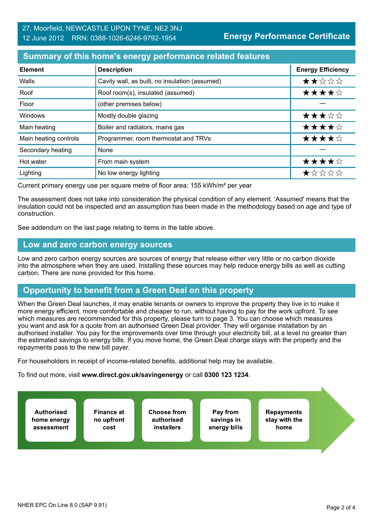# **Summary of this home's energy performance related features**

| <b>Element</b>        | <b>Description</b>                             | <b>Energy Efficiency</b> |
|-----------------------|------------------------------------------------|--------------------------|
| Walls                 | Cavity wall, as built, no insulation (assumed) | ★★☆☆☆                    |
| Roof                  | Roof room(s), insulated (assumed)              | ★★★★☆                    |
| Floor                 | (other premises below)                         |                          |
| Windows               | Mostly double glazing                          | ★★★☆☆                    |
| Main heating          | Boiler and radiators, mains gas                | ★★★★☆                    |
| Main heating controls | Programmer, room thermostat and TRVs           | ★★★★☆                    |
| Secondary heating     | None                                           |                          |
| Hot water             | From main system                               | ★★★★☆                    |
| Lighting              | No low energy lighting                         | *****                    |

Current primary energy use per square metre of floor area: 155 kWh/m² per year

The assessment does not take into consideration the physical condition of any element. 'Assumed' means that the insulation could not be inspected and an assumption has been made in the methodology based on age and type of construction.

See addendum on the last page relating to items in the table above.

#### **Low and zero carbon energy sources**

Low and zero carbon energy sources are sources of energy that release either very little or no carbon dioxide into the atmosphere when they are used. Installing these sources may help reduce energy bills as well as cutting carbon. There are none provided for this home.

# **Opportunity to benefit from a Green Deal on this property**

When the Green Deal launches, it may enable tenants or owners to improve the property they live in to make it more energy efficient, more comfortable and cheaper to run, without having to pay for the work upfront. To see which measures are recommended for this property, please turn to page 3. You can choose which measures you want and ask for a quote from an authorised Green Deal provider. They will organise installation by an authorised installer. You pay for the improvements over time through your electricity bill, at a level no greater than the estimated savings to energy bills. If you move home, the Green Deal charge stays with the property and the repayments pass to the new bill payer.

For householders in receipt of income-related benefits, additional help may be available.

To find out more, visit **www.direct.gov.uk/savingenergy** or call **0300 123 1234**.

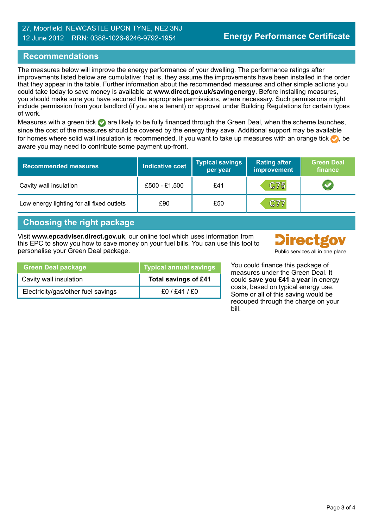#### 27, Moorfield, NEWCASTLE UPON TYNE, NE2 3NJ 12 June 2012 RRN: 0388-1026-6246-9792-1954

# **Recommendations**

The measures below will improve the energy performance of your dwelling. The performance ratings after improvements listed below are cumulative; that is, they assume the improvements have been installed in the order that they appear in the table. Further information about the recommended measures and other simple actions you could take today to save money is available at **www.direct.gov.uk/savingenergy**. Before installing measures, you should make sure you have secured the appropriate permissions, where necessary. Such permissions might include permission from your landlord (if you are a tenant) or approval under Building Regulations for certain types of work.

Measures with a green tick are likely to be fully financed through the Green Deal, when the scheme launches, since the cost of the measures should be covered by the energy they save. Additional support may be available for homes where solid wall insulation is recommended. If you want to take up measures with an orange tick  $\bullet$ , be aware you may need to contribute some payment up-front.

| <b>Recommended measures</b>               | <b>Indicative cost</b> | Typical savings<br>per year | <b>Rating after</b><br>improvement | <b>Green Deal</b><br>finance |
|-------------------------------------------|------------------------|-----------------------------|------------------------------------|------------------------------|
| Cavity wall insulation                    | £500 - £1,500          | £41                         | C75                                |                              |
| Low energy lighting for all fixed outlets | £90                    | £50                         | C77                                |                              |

# **Choosing the right package**

Visit **www.epcadviser.direct.gov.uk**, our online tool which uses information from this EPC to show you how to save money on your fuel bills. You can use this tool to personalise your Green Deal package. Public services all in one place



| <b>Green Deal package</b>          | Typical annual savings      |
|------------------------------------|-----------------------------|
| Cavity wall insulation             | <b>Total savings of £41</b> |
| Electricity/gas/other fuel savings | f0/fd1/f0                   |

You could finance this package of measures under the Green Deal. It could **save you £41 a year** in energy costs, based on typical energy use. Some or all of this saving would be recouped through the charge on your bill.